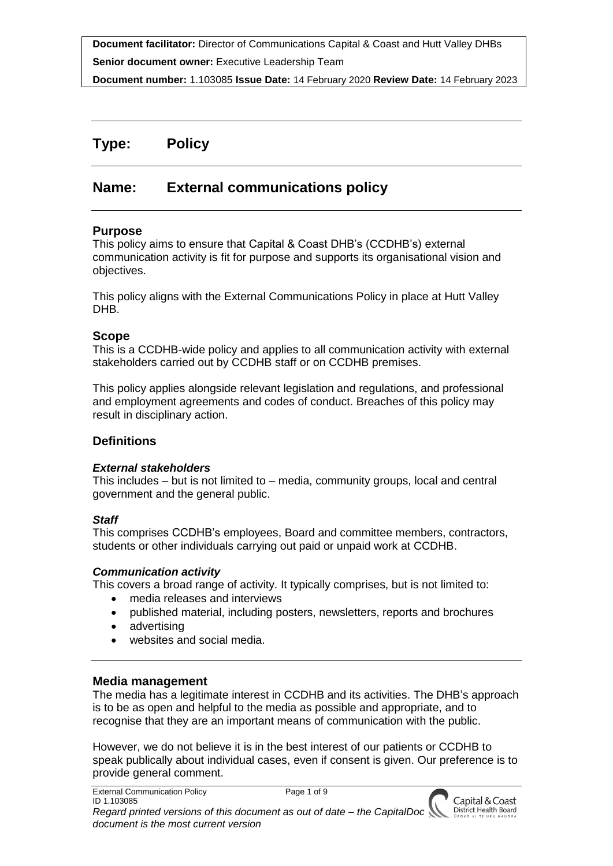**Document facilitator:** Director of Communications Capital & Coast and Hutt Valley DHBs **Senior document owner:** Executive Leadership Team

**Document number:** 1.103085 **Issue Date:** 14 February 2020 **Review Date:** 14 February 2023

# **Type: Policy**

# **Name: External communications policy**

### **Purpose**

This policy aims to ensure that Capital & Coast DHB's (CCDHB's) external communication activity is fit for purpose and supports its organisational vision and objectives.

This policy aligns with the External Communications Policy in place at Hutt Valley DHB.

### **Scope**

This is a CCDHB-wide policy and applies to all communication activity with external stakeholders carried out by CCDHB staff or on CCDHB premises.

This policy applies alongside relevant legislation and regulations, and professional and employment agreements and codes of conduct. Breaches of this policy may result in disciplinary action.

## **Definitions**

### *External stakeholders*

This includes – but is not limited to – media, community groups, local and central government and the general public.

### *Staff*

This comprises CCDHB's employees, Board and committee members, contractors, students or other individuals carrying out paid or unpaid work at CCDHB.

### *Communication activity*

This covers a broad range of activity. It typically comprises, but is not limited to:

- media releases and interviews
- published material, including posters, newsletters, reports and brochures
- advertising
- websites and social media.

### **Media management**

The media has a legitimate interest in CCDHB and its activities. The DHB's approach is to be as open and helpful to the media as possible and appropriate, and to recognise that they are an important means of communication with the public.

However, we do not believe it is in the best interest of our patients or CCDHB to speak publically about individual cases, even if consent is given. Our preference is to provide general comment.

> Capital & Coast District Health Board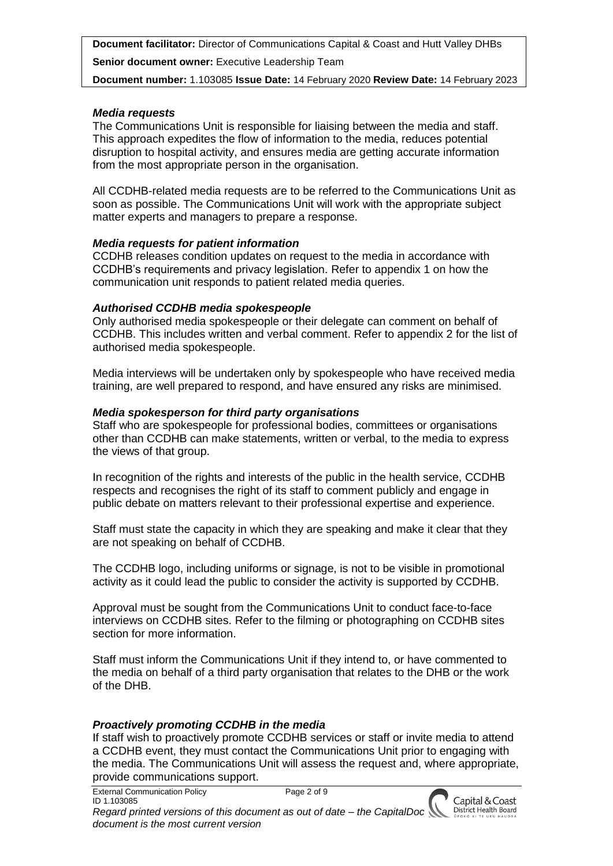**Senior document owner:** Executive Leadership Team

**Document number:** 1.103085 **Issue Date:** 14 February 2020 **Review Date:** 14 February 2023

### *Media requests*

The Communications Unit is responsible for liaising between the media and staff. This approach expedites the flow of information to the media, reduces potential disruption to hospital activity, and ensures media are getting accurate information from the most appropriate person in the organisation.

All CCDHB-related media requests are to be referred to the Communications Unit as soon as possible. The Communications Unit will work with the appropriate subject matter experts and managers to prepare a response.

### *Media requests for patient information*

CCDHB releases condition updates on request to the media in accordance with CCDHB's requirements and privacy legislation. Refer to appendix 1 on how the communication unit responds to patient related media queries.

### *Authorised CCDHB media spokespeople*

Only authorised media spokespeople or their delegate can comment on behalf of CCDHB. This includes written and verbal comment. Refer to appendix 2 for the list of authorised media spokespeople.

Media interviews will be undertaken only by spokespeople who have received media training, are well prepared to respond, and have ensured any risks are minimised.

### *Media spokesperson for third party organisations*

Staff who are spokespeople for professional bodies, committees or organisations other than CCDHB can make statements, written or verbal, to the media to express the views of that group.

In recognition of the rights and interests of the public in the health service, CCDHB respects and recognises the right of its staff to comment publicly and engage in public debate on matters relevant to their professional expertise and experience.

Staff must state the capacity in which they are speaking and make it clear that they are not speaking on behalf of CCDHB.

The CCDHB logo, including uniforms or signage, is not to be visible in promotional activity as it could lead the public to consider the activity is supported by CCDHB.

Approval must be sought from the Communications Unit to conduct face-to-face interviews on CCDHB sites. Refer to the filming or photographing on CCDHB sites section for more information.

Staff must inform the Communications Unit if they intend to, or have commented to the media on behalf of a third party organisation that relates to the DHB or the work of the DHB.

### *Proactively promoting CCDHB in the media*

If staff wish to proactively promote CCDHB services or staff or invite media to attend a CCDHB event, they must contact the Communications Unit prior to engaging with the media. The Communications Unit will assess the request and, where appropriate, provide communications support.

External Communication Policy Page 2 of 9

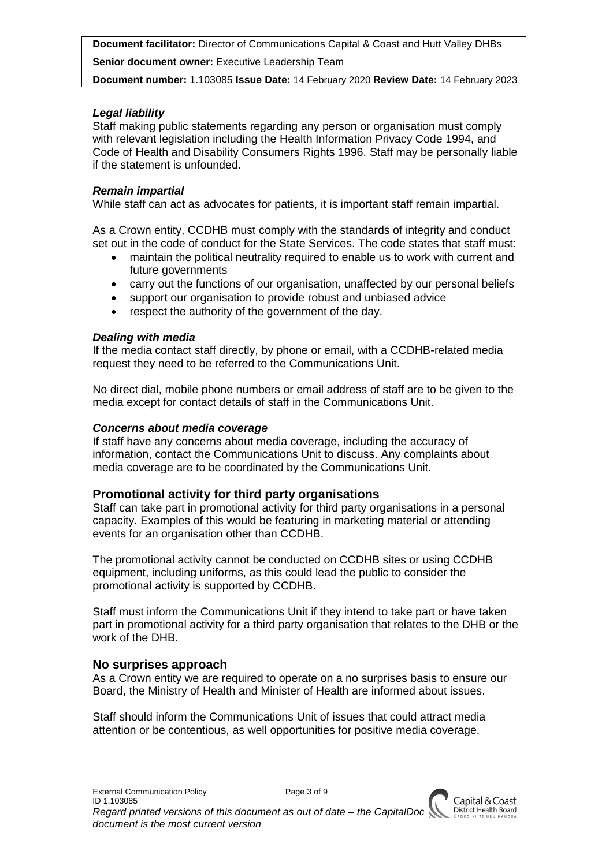**Senior document owner:** Executive Leadership Team

**Document number:** 1.103085 **Issue Date:** 14 February 2020 **Review Date:** 14 February 2023

## *Legal liability*

Staff making public statements regarding any person or organisation must comply with relevant legislation including the Health Information Privacy Code 1994, and Code of Health and Disability Consumers Rights 1996. Staff may be personally liable if the statement is unfounded.

## *Remain impartial*

While staff can act as advocates for patients, it is important staff remain impartial.

As a Crown entity, CCDHB must comply with the standards of integrity and conduct set out in the code of conduct for the State Services. The code states that staff must:

- maintain the political neutrality required to enable us to work with current and future governments
- carry out the functions of our organisation, unaffected by our personal beliefs
- support our organisation to provide robust and unbiased advice
- respect the authority of the government of the day.

## *Dealing with media*

If the media contact staff directly, by phone or email, with a CCDHB-related media request they need to be referred to the Communications Unit.

No direct dial, mobile phone numbers or email address of staff are to be given to the media except for contact details of staff in the Communications Unit.

## *Concerns about media coverage*

If staff have any concerns about media coverage, including the accuracy of information, contact the Communications Unit to discuss. Any complaints about media coverage are to be coordinated by the Communications Unit.

## **Promotional activity for third party organisations**

Staff can take part in promotional activity for third party organisations in a personal capacity. Examples of this would be featuring in marketing material or attending events for an organisation other than CCDHB.

The promotional activity cannot be conducted on CCDHB sites or using CCDHB equipment, including uniforms, as this could lead the public to consider the promotional activity is supported by CCDHB.

Staff must inform the Communications Unit if they intend to take part or have taken part in promotional activity for a third party organisation that relates to the DHB or the work of the DHB.

## **No surprises approach**

As a Crown entity we are required to operate on a no surprises basis to ensure our Board, the Ministry of Health and Minister of Health are informed about issues.

Staff should inform the Communications Unit of issues that could attract media attention or be contentious, as well opportunities for positive media coverage.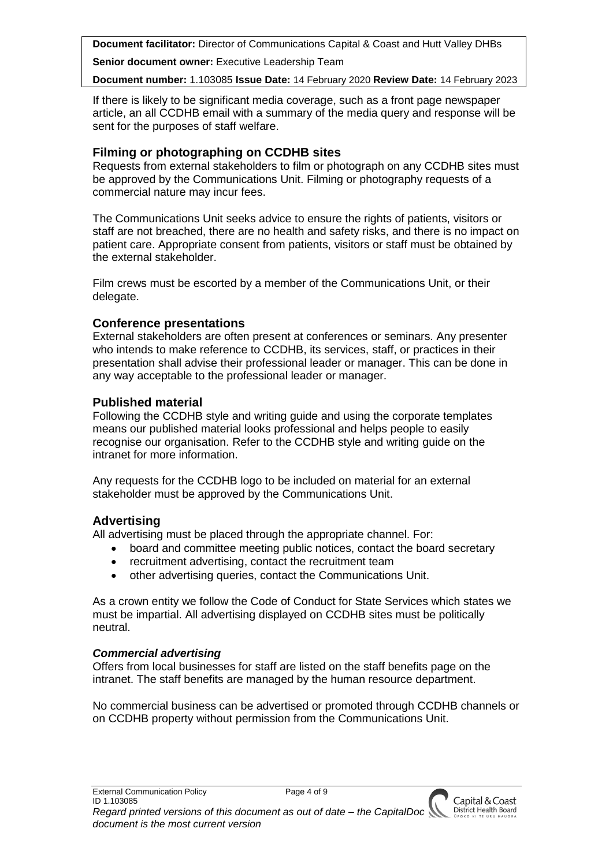**Senior document owner:** Executive Leadership Team

**Document number:** 1.103085 **Issue Date:** 14 February 2020 **Review Date:** 14 February 2023

If there is likely to be significant media coverage, such as a front page newspaper article, an all CCDHB email with a summary of the media query and response will be sent for the purposes of staff welfare.

## **Filming or photographing on CCDHB sites**

Requests from external stakeholders to film or photograph on any CCDHB sites must be approved by the Communications Unit. Filming or photography requests of a commercial nature may incur fees.

The Communications Unit seeks advice to ensure the rights of patients, visitors or staff are not breached, there are no health and safety risks, and there is no impact on patient care. Appropriate consent from patients, visitors or staff must be obtained by the external stakeholder.

Film crews must be escorted by a member of the Communications Unit, or their delegate.

## **Conference presentations**

External stakeholders are often present at conferences or seminars. Any presenter who intends to make reference to CCDHB, its services, staff, or practices in their presentation shall advise their professional leader or manager. This can be done in any way acceptable to the professional leader or manager.

## **Published material**

Following the CCDHB style and writing guide and using the corporate templates means our published material looks professional and helps people to easily recognise our organisation. Refer to the CCDHB style and writing guide on the intranet for more information.

Any requests for the CCDHB logo to be included on material for an external stakeholder must be approved by the Communications Unit.

## **Advertising**

All advertising must be placed through the appropriate channel. For:

- board and committee meeting public notices, contact the board secretary
- recruitment advertising, contact the recruitment team
- other advertising queries, contact the Communications Unit.

As a crown entity we follow the Code of Conduct for State Services which states we must be impartial. All advertising displayed on CCDHB sites must be politically neutral.

## *Commercial advertising*

Offers from local businesses for staff are listed on the staff benefits page on the intranet. The staff benefits are managed by the human resource department.

No commercial business can be advertised or promoted through CCDHB channels or on CCDHB property without permission from the Communications Unit.

Capital & Coast District Health Board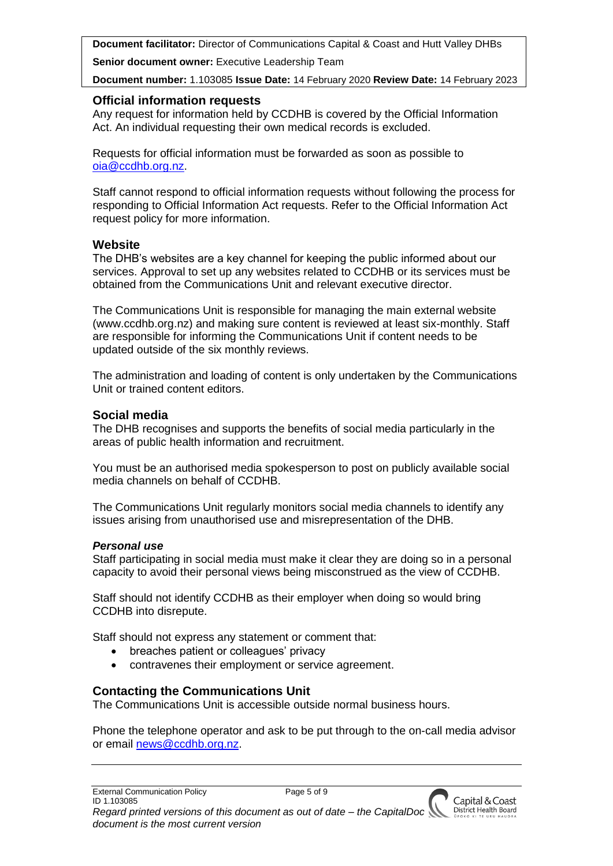**Senior document owner:** Executive Leadership Team

**Document number:** 1.103085 **Issue Date:** 14 February 2020 **Review Date:** 14 February 2023

### **Official information requests**

Any request for information held by CCDHB is covered by the Official Information Act. An individual requesting their own medical records is excluded.

Requests for official information must be forwarded as soon as possible to [oia@ccdhb.org.nz.](mailto:oia@ccdhb.org.nz)

Staff cannot respond to official information requests without following the process for responding to Official Information Act requests. Refer to the Official Information Act request policy for more information.

### **Website**

The DHB's websites are a key channel for keeping the public informed about our services. Approval to set up any websites related to CCDHB or its services must be obtained from the Communications Unit and relevant executive director.

The Communications Unit is responsible for managing the main external website (www.ccdhb.org.nz) and making sure content is reviewed at least six-monthly. Staff are responsible for informing the Communications Unit if content needs to be updated outside of the six monthly reviews.

The administration and loading of content is only undertaken by the Communications Unit or trained content editors.

### **Social media**

The DHB recognises and supports the benefits of social media particularly in the areas of public health information and recruitment.

You must be an authorised media spokesperson to post on publicly available social media channels on behalf of CCDHB.

The Communications Unit regularly monitors social media channels to identify any issues arising from unauthorised use and misrepresentation of the DHB.

### *Personal use*

Staff participating in social media must make it clear they are doing so in a personal capacity to avoid their personal views being misconstrued as the view of CCDHB.

Staff should not identify CCDHB as their employer when doing so would bring CCDHB into disrepute.

Staff should not express any statement or comment that:

- breaches patient or colleagues' privacy
- contravenes their employment or service agreement.

## **Contacting the Communications Unit**

The Communications Unit is accessible outside normal business hours.

Phone the telephone operator and ask to be put through to the on-call media advisor or email [news@ccdhb.org.nz.](mailto:news@ccdhb.org.nz)

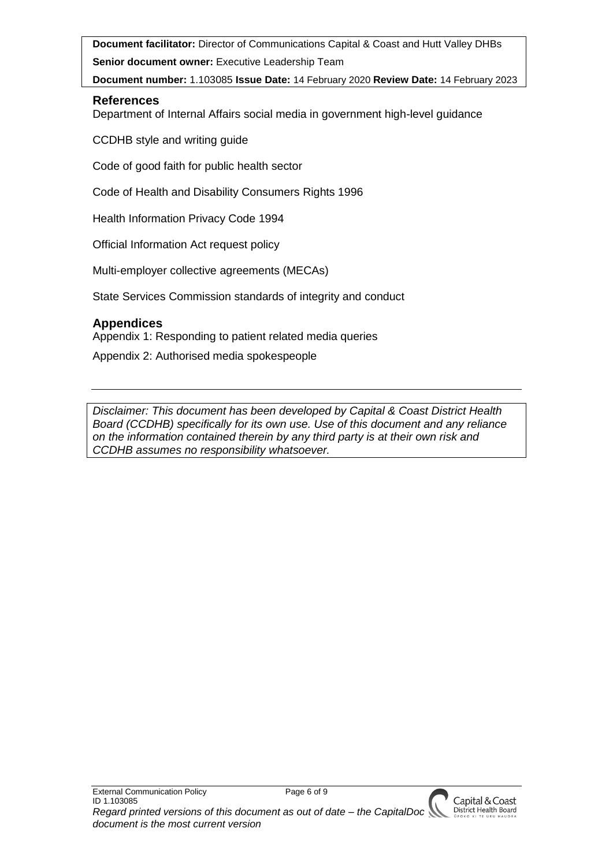**Senior document owner:** Executive Leadership Team

**Document number:** 1.103085 **Issue Date:** 14 February 2020 **Review Date:** 14 February 2023

## **References**

Department of Internal Affairs social media in government high-level guidance

CCDHB style and writing guide

Code of good faith for public health sector

Code of Health and Disability Consumers Rights 1996

Health Information Privacy Code 1994

Official Information Act request policy

Multi-employer collective agreements (MECAs)

State Services Commission standards of integrity and conduct

# **Appendices**

Appendix 1: Responding to patient related media queries Appendix 2: Authorised media spokespeople

*Disclaimer: This document has been developed by Capital & Coast District Health Board (CCDHB) specifically for its own use. Use of this document and any reliance on the information contained therein by any third party is at their own risk and CCDHB assumes no responsibility whatsoever.*

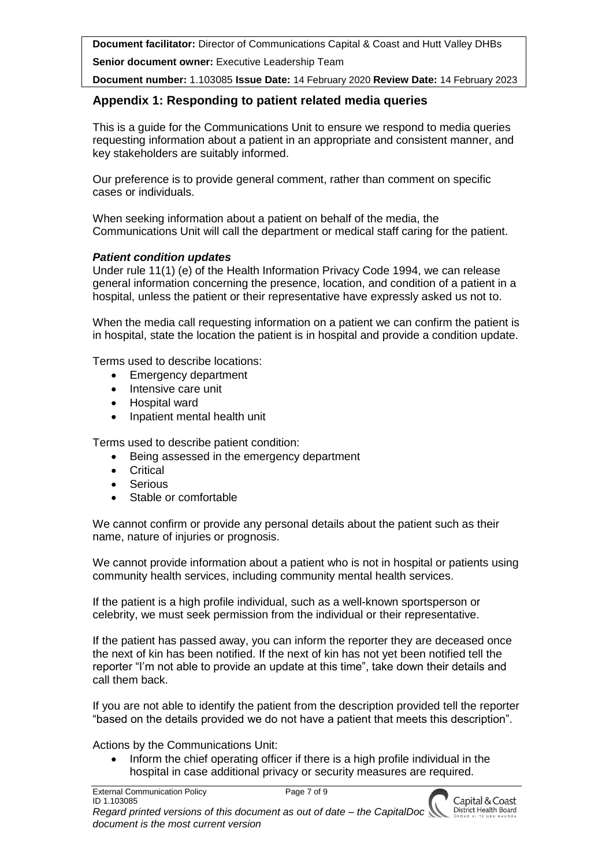**Senior document owner:** Executive Leadership Team

**Document number:** 1.103085 **Issue Date:** 14 February 2020 **Review Date:** 14 February 2023

## **Appendix 1: Responding to patient related media queries**

This is a guide for the Communications Unit to ensure we respond to media queries requesting information about a patient in an appropriate and consistent manner, and key stakeholders are suitably informed.

Our preference is to provide general comment, rather than comment on specific cases or individuals.

When seeking information about a patient on behalf of the media, the Communications Unit will call the department or medical staff caring for the patient.

#### *Patient condition updates*

Under rule 11(1) (e) of the Health Information Privacy Code 1994, we can release general information concerning the presence, location, and condition of a patient in a hospital, unless the patient or their representative have expressly asked us not to.

When the media call requesting information on a patient we can confirm the patient is in hospital, state the location the patient is in hospital and provide a condition update.

Terms used to describe locations:

- Emergency department
- Intensive care unit
- Hospital ward
- Inpatient mental health unit

Terms used to describe patient condition:

- Being assessed in the emergency department
- Critical
- **Serious**
- Stable or comfortable

We cannot confirm or provide any personal details about the patient such as their name, nature of injuries or prognosis.

We cannot provide information about a patient who is not in hospital or patients using community health services, including community mental health services.

If the patient is a high profile individual, such as a well-known sportsperson or celebrity, we must seek permission from the individual or their representative.

If the patient has passed away, you can inform the reporter they are deceased once the next of kin has been notified. If the next of kin has not yet been notified tell the reporter "I'm not able to provide an update at this time", take down their details and call them back.

If you are not able to identify the patient from the description provided tell the reporter "based on the details provided we do not have a patient that meets this description".

Actions by the Communications Unit:

 Inform the chief operating officer if there is a high profile individual in the hospital in case additional privacy or security measures are required.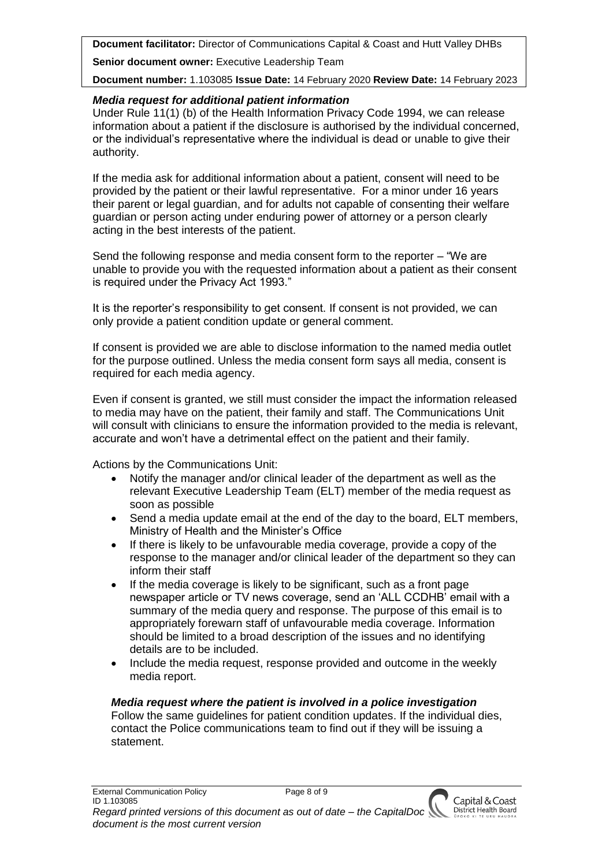**Senior document owner:** Executive Leadership Team

**Document number:** 1.103085 **Issue Date:** 14 February 2020 **Review Date:** 14 February 2023

### *Media request for additional patient information*

Under Rule 11(1) (b) of the Health Information Privacy Code 1994, we can release information about a patient if the disclosure is authorised by the individual concerned, or the individual's representative where the individual is dead or unable to give their authority.

If the media ask for additional information about a patient, consent will need to be provided by the patient or their lawful representative. For a minor under 16 years their parent or legal guardian, and for adults not capable of consenting their welfare guardian or person acting under enduring power of attorney or a person clearly acting in the best interests of the patient.

Send the following response and media consent form to the reporter – "We are unable to provide you with the requested information about a patient as their consent is required under the Privacy Act 1993."

It is the reporter's responsibility to get consent. If consent is not provided, we can only provide a patient condition update or general comment.

If consent is provided we are able to disclose information to the named media outlet for the purpose outlined. Unless the media consent form says all media, consent is required for each media agency.

Even if consent is granted, we still must consider the impact the information released to media may have on the patient, their family and staff. The Communications Unit will consult with clinicians to ensure the information provided to the media is relevant, accurate and won't have a detrimental effect on the patient and their family.

Actions by the Communications Unit:

- Notify the manager and/or clinical leader of the department as well as the relevant Executive Leadership Team (ELT) member of the media request as soon as possible
- Send a media update email at the end of the day to the board, ELT members, Ministry of Health and the Minister's Office
- If there is likely to be unfavourable media coverage, provide a copy of the response to the manager and/or clinical leader of the department so they can inform their staff
- If the media coverage is likely to be significant, such as a front page newspaper article or TV news coverage, send an 'ALL CCDHB' email with a summary of the media query and response. The purpose of this email is to appropriately forewarn staff of unfavourable media coverage. Information should be limited to a broad description of the issues and no identifying details are to be included.
- Include the media request, response provided and outcome in the weekly media report.

*Media request where the patient is involved in a police investigation* Follow the same guidelines for patient condition updates. If the individual dies, contact the Police communications team to find out if they will be issuing a statement.